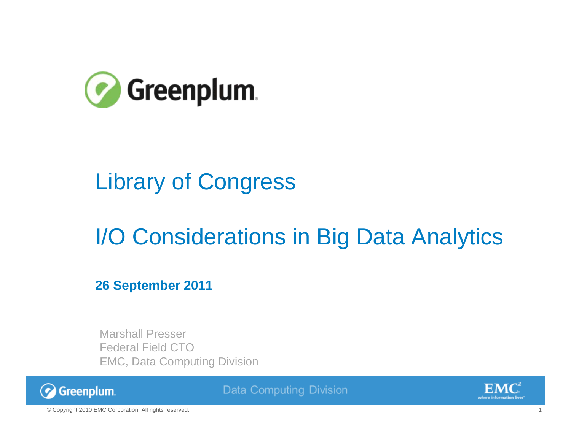

#### Library of Congress

#### I/O Considerations in Big Data Analytics

**26 September 2011**

Marshall PresserFederal Field CTOEMC, Data Computing Division



**Data Computing Division** 

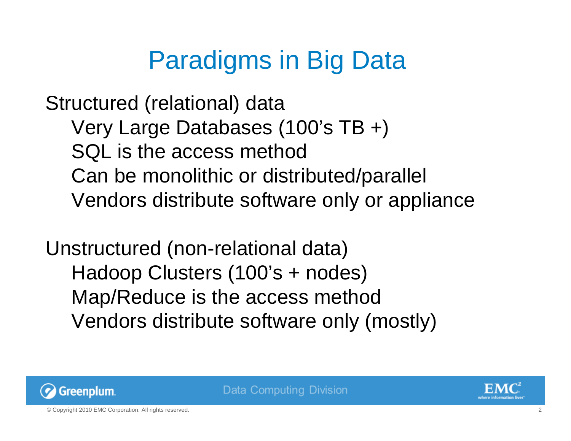# Paradigms in Big Data

Structured (relational) data Very Large Databases (100's TB +) SQL is the access method Can be monolithic or distributed/parallel Vendors distribute software only or appliance

Unstructured (non-relational data) Hadoop Clusters (100's + nodes) Map/Reduce is the access method Vendors distribute software only (mostly)



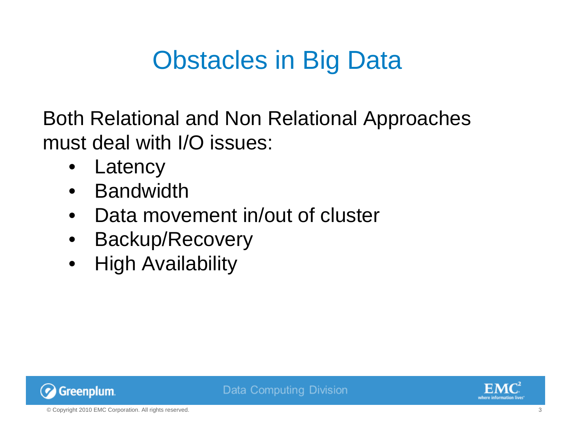# Obstacles in Big Data

Both Relational and Non Relational Approaches must deal with I/O issues:

- Latency
- Bandwidth
- Data movement in/out of cluster
- Backup/Recovery
- High Availability



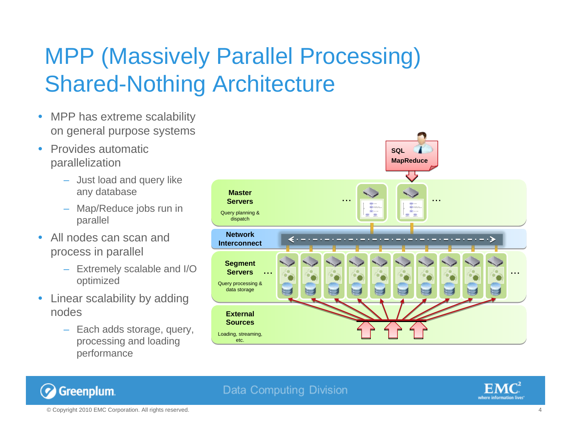#### MPP (Massively Parallel Processing) Shared-Nothing Architecture

- $\bullet$  MPP has extreme scalability on general purpose systems
- $\bullet$  Provides automatic parallelization
	- Just load and query like any database
	- Map/Reduce jobs run in parallel
- $\bullet$  All nodes can scan and process in parallel
	- Extremely scalable and I/O optimized
- $\bullet$  Linear scalability by adding nodes
	- Each adds storage, query, processing and loading performance



#### **Data Computing Division**



© Copyright 2010 EMC Corporation. All rights reserved. 4

Greenplum.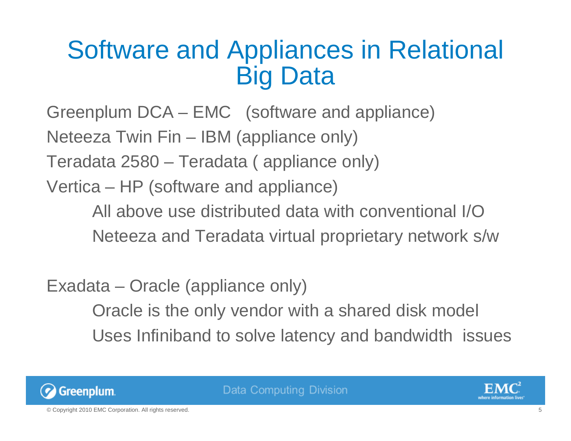### Software and Appliances in Relational Big Data

Greenplum DCA – EMC (software and appliance) Neteeza Twin Fin – IBM (appliance only) Teradata 2580 – Teradata ( appliance only)

Vertica – HP (software and appliance)

All above use distributed data with conventional I/ONeteeza and Teradata virtual proprietary network s/w

Exadata – Oracle (appliance only) Oracle is the only vendor with a shared disk model Uses Infiniband to solve latency and bandwidth issues



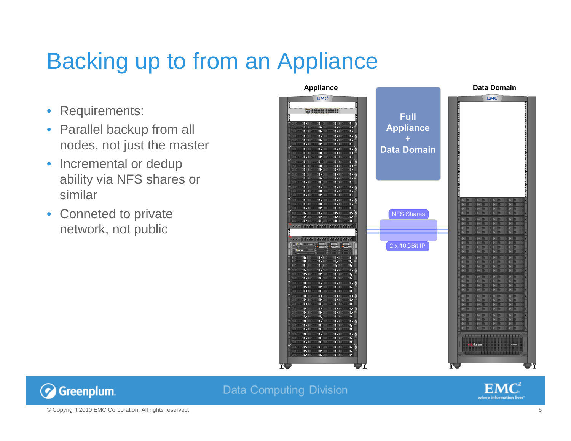#### Backing up to from an Appliance

- Requirements:
- Parallel backup from all nodes, not just the master
- Incremental or dedup ability via NFS shares or similar
- Conneted to private network, not public





**Data Computing Division** 

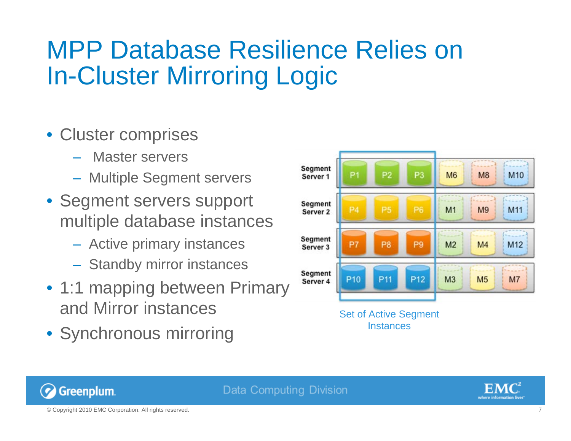#### MPP Database Resilience Relies on In-Cluster Mirroring Logic

**Data Computing Division** 

- Cluster comprises
	- Master servers
	- Multiple Segment servers
- Segment servers support multiple database instances
	- Active primary instances
	- Standby mirror instances
- 1:1 mapping between Primary and Mirror instances
- Synchronous mirroring



Set of Active Segment **Instances** 



© Copyright 2010 EMC Corporation. All rights reserved. 7

Greenplum.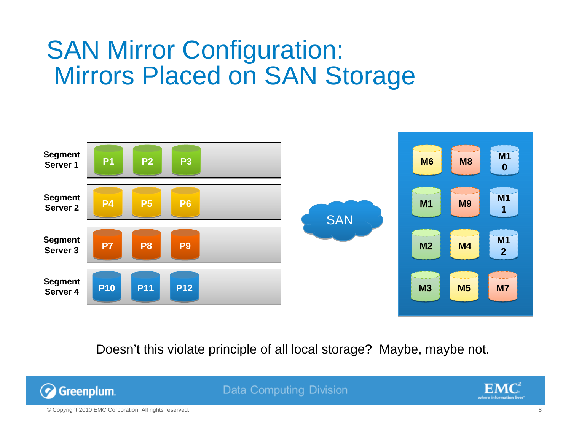#### SAN Mirror Configuration: Mirrors Placed on SAN Storage



Doesn't this violate principle of all local storage? Maybe, maybe not.



**Data Computing Division** 

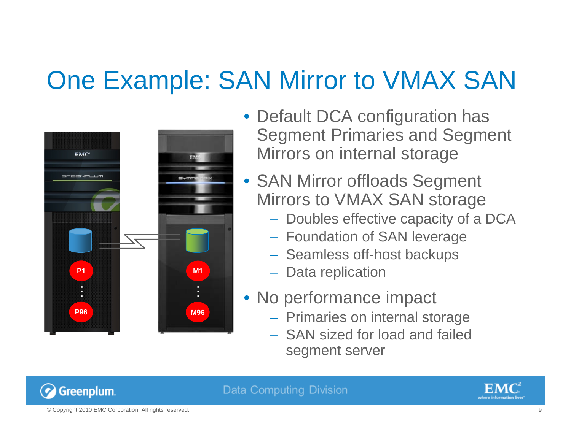# One Example: SAN Mirror to VMAX SAN



- Default DCA configuration has Segment Primaries and Segment Mirrors on internal storage
- SAN Mirror offloads Segment Mirrors to VMAX SAN storage
	- Doubles effective capacity of a DCA
	- Foundation of SAN leverage
	- Seamless off-host backups
	- Data replication
- No performance impact
	- Primaries on internal storage
	- SAN sized for load and failed segment server



Data Computing Division

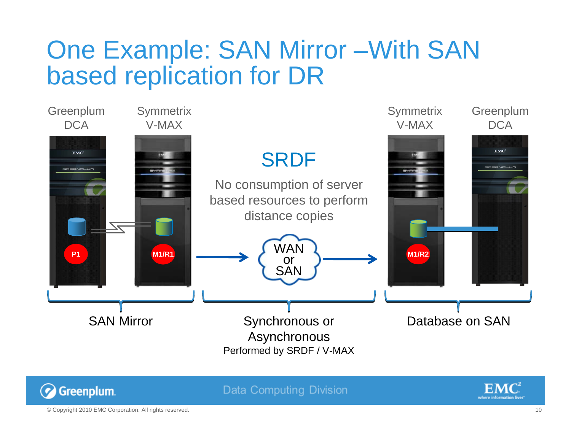#### One Example: SAN Mirror –With SAN based replication for DR



**Data Computing Division** 

![](_page_9_Picture_3.jpeg)

© Copyright 2010 EMC Corporation. All rights reserved. 10

Greenplum.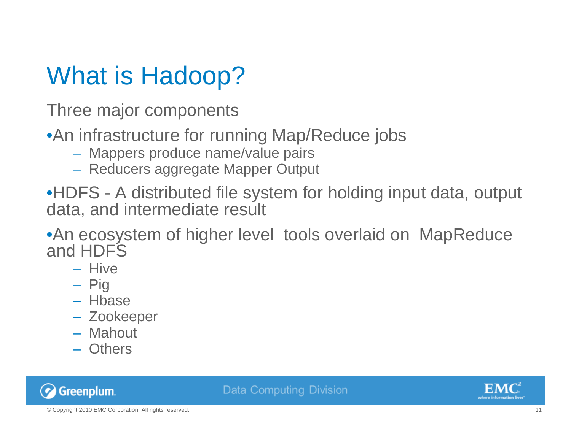# What is Hadoop?

Three major components

•An infrastructure for running Map/Reduce jobs

- Mappers produce name/value pairs
- Reducers aggregate Mapper Output

•HDFS - A distributed file system for holding input data, output data, and intermediate result

•An ecosystem of higher level tools overlaid on MapReduce and HDFS

- Hive
- Pig
- Hbase
- Zookeeper
- Mahout
- Others

![](_page_10_Picture_13.jpeg)

![](_page_10_Picture_15.jpeg)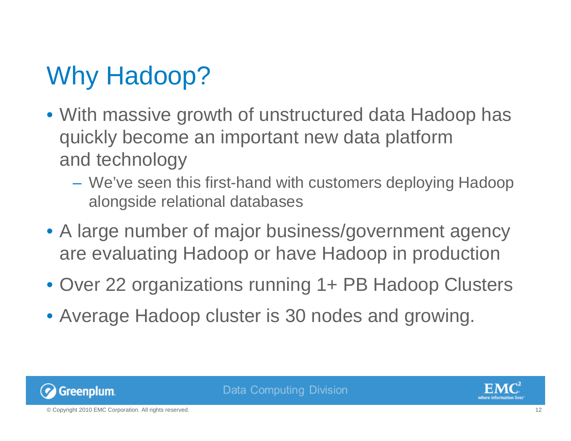# Why Hadoop?

- With massive growth of unstructured data Hadoop has quickly become an important new data platform and technology
	- We've seen this first-hand with customers deploying Hadoop alongside relational databases
- A large number of major business/government agency are evaluating Hadoop or have Hadoop in production
- Over 22 organizations running 1+ PB Hadoop Clusters
- Average Hadoop cluster is 30 nodes and growing.

![](_page_11_Picture_6.jpeg)

![](_page_11_Picture_8.jpeg)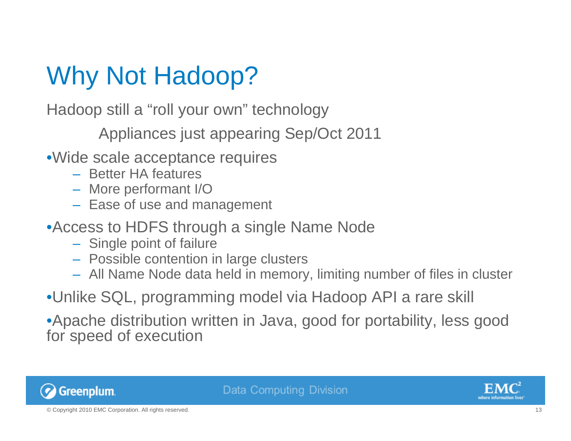# Why Not Hadoop?

Hadoop still a "roll your own" technology

Appliances just appearing Sep/Oct 2011

- •Wide scale acceptance requires
	- Better HA features
	- More performant I/O
	- Ease of use and management
- •Access to HDFS through a single Name Node
	- Single point of failure
	- Possible contention in large clusters
	- All Name Node data held in memory, limiting number of files in cluster
- •Unlike SQL, programming model via Hadoop API a rare skill

•Apache distribution written in Java, good for portability, less good for speed of execution

![](_page_12_Picture_13.jpeg)

![](_page_12_Picture_15.jpeg)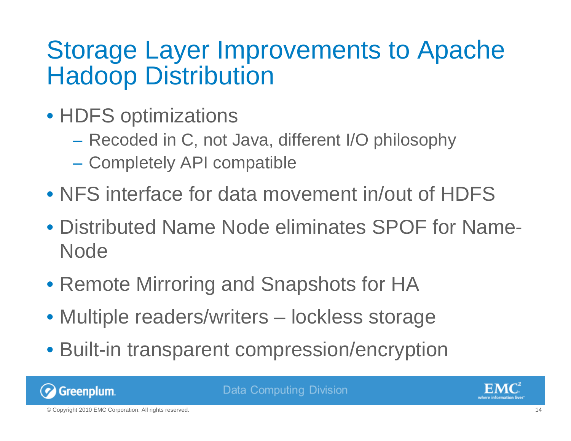#### Storage Layer Improvements to Apache Hadoop Distribution

- HDFS optimizations
	- Recoded in C, not Java, different I/O philosophy
	- Completely API compatible
- NFS interface for data movement in/out of HDFS
- Distributed Name Node eliminates SPOF for Name-Node
- Remote Mirroring and Snapshots for HA
- Multiple readers/writers lockless storage
- Built-in transparent compression/encryption

![](_page_13_Picture_9.jpeg)

**Data Computing Division** 

![](_page_13_Picture_11.jpeg)